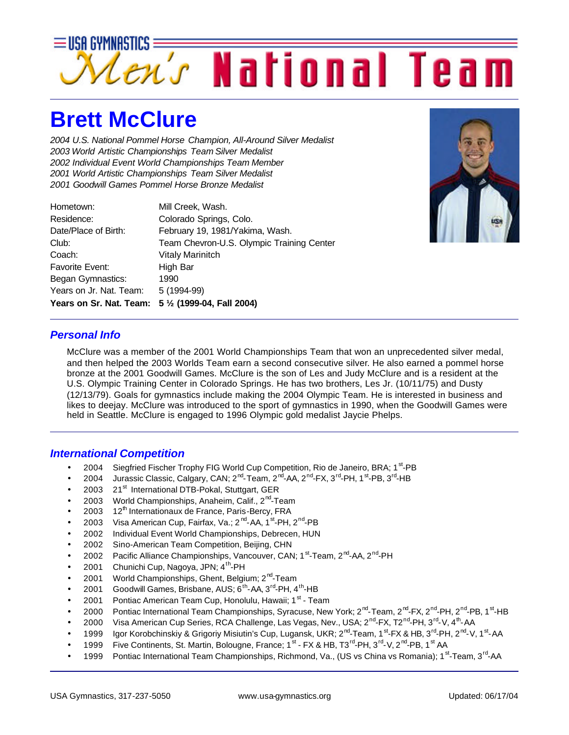

## **Brett McClure**

*2004 U.S. National Pommel Horse Champion, All-Around Silver Medalist 2003 World Artistic Championships Team Silver Medalist 2002 Individual Event World Championships Team Member 2001 World Artistic Championships Team Silver Medalist 2001 Goodwill Games Pommel Horse Bronze Medalist*

| Years on Sr. Nat. Team: | 5 1/2 (1999-04, Fall 2004)                |
|-------------------------|-------------------------------------------|
| Years on Jr. Nat. Team: | 5 (1994-99)                               |
| Began Gymnastics:       | 1990                                      |
| <b>Favorite Event:</b>  | High Bar                                  |
| Coach:                  | Vitaly Marinitch                          |
| Club:                   | Team Chevron-U.S. Olympic Training Center |
| Date/Place of Birth:    | February 19, 1981/Yakima, Wash.           |
| Residence:              | Colorado Springs, Colo.                   |
| Hometown:               | Mill Creek, Wash.                         |



#### *Personal Info*

McClure was a member of the 2001 World Championships Team that won an unprecedented silver medal, and then helped the 2003 Worlds Team earn a second consecutive silver. He also earned a pommel horse bronze at the 2001 Goodwill Games. McClure is the son of Les and Judy McClure and is a resident at the U.S. Olympic Training Center in Colorado Springs. He has two brothers, Les Jr. (10/11/75) and Dusty (12/13/79). Goals for gymnastics include making the 2004 Olympic Team. He is interested in business and likes to deejay. McClure was introduced to the sport of gymnastics in 1990, when the Goodwill Games were held in Seattle. McClure is engaged to 1996 Olympic gold medalist Jaycie Phelps.

#### *International Competition*

- 2004 Siegfried Fischer Trophy FIG World Cup Competition, Rio de Janeiro, BRA; 1<sup>st</sup>-PB
- $\bullet$  2004 Jurassic Classic, Calgary, CAN; 2<sup>nd</sup>-Team, 2<sup>nd</sup>-AA, 2<sup>nd</sup>-FX, 3<sup>rd</sup>-PH, 1<sup>st</sup>-PB, 3<sup>rd</sup>-HB
- 2003 21<sup>st</sup> International DTB-Pokal, Stuttgart, GER
- 2003 World Championships, Anaheim, Calif., 2<sup>nd</sup>-Team
- 2003  $12<sup>th</sup>$  Internationaux de France, Paris-Bercy, FRA
- 2003 Visa American Cup, Fairfax, Va.; 2<sup>nd</sup>-AA, 1<sup>st</sup>-PH, 2<sup>nd</sup>-PB
- 2002 Individual Event World Championships, Debrecen, HUN
- 2002 Sino-American Team Competition, Beijing, CHN
- 2002 Pacific Alliance Championships, Vancouver, CAN; 1<sup>st</sup>-Team, 2<sup>nd</sup>-AA, 2<sup>nd</sup>-PH
- 2001 Chunichi Cup, Nagoya, JPN;  $4^{\text{th}}$ -PH
- 2001 World Championships, Ghent, Belgium; 2<sup>nd</sup>-Team
- 2001 Goodwill Games, Brisbane, AUS;  $6<sup>th</sup>$ -AA, 3<sup>rd</sup>-PH, 4<sup>th</sup>-HB
- 2001 Pontiac American Team Cup, Honolulu, Hawaii; 1<sup>st</sup> Team
- 2000 Pontiac International Team Championships, Syracuse, New York; 2<sup>nd</sup>-Team, 2<sup>nd</sup>-FX, 2<sup>nd</sup>-PH, 2<sup>nd</sup>-PB, 1<sup>st</sup>-HB
- 2000 Visa American Cup Series, RCA Challenge, Las Vegas, Nev., USA; 2<sup>nd</sup>-FX, T2<sup>nd</sup>-PH, 3<sup>rd</sup>-V, 4<sup>th</sup>-AA
- 1999 Igor Korobchinskiy & Grigoriy Misiutin's Cup, Lugansk, UKR; 2<sup>nd</sup>-Team, 1<sup>st</sup>-FX & HB, 3<sup>rd</sup>-PH, 2<sup>nd</sup>-V, 1<sup>st</sup>-AA
- 1999 Five Continents, St. Martin, Bolougne, France; 1<sup>st</sup> FX & HB, T3<sup>rd</sup>-PH, 3<sup>rd</sup>-V, 2<sup>nd</sup>-PB, 1<sup>st</sup> AA
- 1999 Pontiac International Team Championships, Richmond, Va., (US vs China vs Romania); 1<sup>st</sup>-Team, 3<sup>rd</sup>-AA